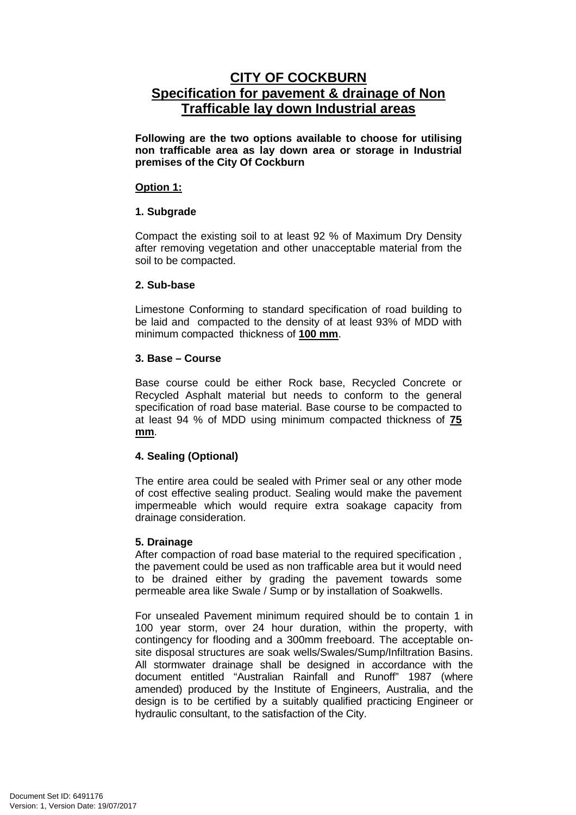# **CITY OF COCKBURN Specification for pavement & drainage of Non Trafficable lay down Industrial areas**

**Following are the two options available to choose for utilising non trafficable area as lay down area or storage in Industrial premises of the City Of Cockburn** 

#### **Option 1:**

## **1. Subgrade**

Compact the existing soil to at least 92 % of Maximum Dry Density after removing vegetation and other unacceptable material from the soil to be compacted.

#### **2. Sub-base**

Limestone Conforming to standard specification of road building to be laid and compacted to the density of at least 93% of MDD with minimum compacted thickness of **100 mm**.

## **3. Base – Course**

Base course could be either Rock base, Recycled Concrete or Recycled Asphalt material but needs to conform to the general specification of road base material. Base course to be compacted to at least 94 % of MDD using minimum compacted thickness of **75 mm**.

## **4. Sealing (Optional)**

The entire area could be sealed with Primer seal or any other mode of cost effective sealing product. Sealing would make the pavement impermeable which would require extra soakage capacity from drainage consideration.

## **5. Drainage**

After compaction of road base material to the required specification , the pavement could be used as non trafficable area but it would need to be drained either by grading the pavement towards some permeable area like Swale / Sump or by installation of Soakwells.

For unsealed Pavement minimum required should be to contain 1 in 100 year storm, over 24 hour duration, within the property, with contingency for flooding and a 300mm freeboard. The acceptable onsite disposal structures are soak wells/Swales/Sump/Infiltration Basins. All stormwater drainage shall be designed in accordance with the document entitled "Australian Rainfall and Runoff" 1987 (where amended) produced by the Institute of Engineers, Australia, and the design is to be certified by a suitably qualified practicing Engineer or hydraulic consultant, to the satisfaction of the City.